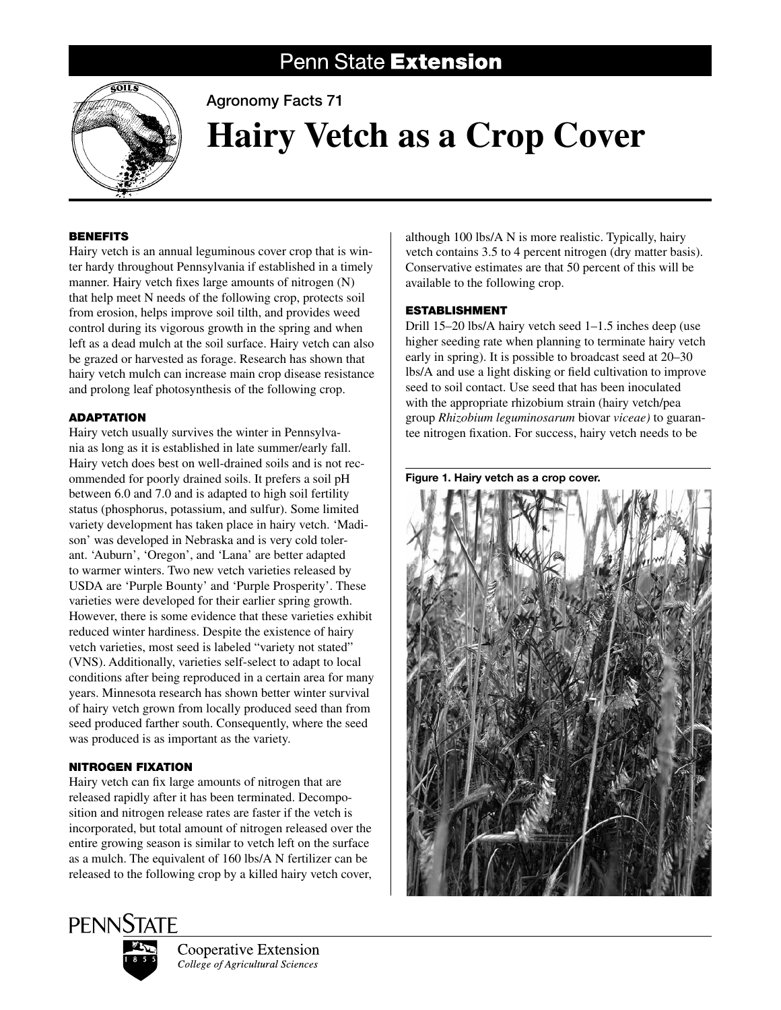# Penn State Extension



Agronomy Facts 71

# **Hairy Vetch as a Crop Cover**

## **BENEFITS**

Hairy vetch is an annual leguminous cover crop that is winter hardy throughout Pennsylvania if established in a timely manner. Hairy vetch fixes large amounts of nitrogen (N) that help meet N needs of the following crop, protects soil from erosion, helps improve soil tilth, and provides weed control during its vigorous growth in the spring and when left as a dead mulch at the soil surface. Hairy vetch can also be grazed or harvested as forage. Research has shown that hairy vetch mulch can increase main crop disease resistance and prolong leaf photosynthesis of the following crop.

# **ADAPTATION**

Hairy vetch usually survives the winter in Pennsylvania as long as it is established in late summer/early fall. Hairy vetch does best on well-drained soils and is not recommended for poorly drained soils. It prefers a soil pH between 6.0 and 7.0 and is adapted to high soil fertility status (phosphorus, potassium, and sulfur). Some limited variety development has taken place in hairy vetch. 'Madison' was developed in Nebraska and is very cold tolerant. 'Auburn', 'Oregon', and 'Lana' are better adapted to warmer winters. Two new vetch varieties released by USDA are 'Purple Bounty' and 'Purple Prosperity'. These varieties were developed for their earlier spring growth. However, there is some evidence that these varieties exhibit reduced winter hardiness. Despite the existence of hairy vetch varieties, most seed is labeled "variety not stated" (VNS). Additionally, varieties self-select to adapt to local conditions after being reproduced in a certain area for many years. Minnesota research has shown better winter survival of hairy vetch grown from locally produced seed than from seed produced farther south. Consequently, where the seed was produced is as important as the variety.

# Nitrogen Fixation

Hairy vetch can fix large amounts of nitrogen that are released rapidly after it has been terminated. Decomposition and nitrogen release rates are faster if the vetch is incorporated, but total amount of nitrogen released over the entire growing season is similar to vetch left on the surface as a mulch. The equivalent of 160 lbs/A N fertilizer can be released to the following crop by a killed hairy vetch cover,

although 100 lbs/A N is more realistic. Typically, hairy vetch contains 3.5 to 4 percent nitrogen (dry matter basis). Conservative estimates are that 50 percent of this will be available to the following crop.

### Establishment

Drill 15–20 lbs/A hairy vetch seed 1–1.5 inches deep (use higher seeding rate when planning to terminate hairy vetch early in spring). It is possible to broadcast seed at 20–30 lbs/A and use a light disking or field cultivation to improve seed to soil contact. Use seed that has been inoculated with the appropriate rhizobium strain (hairy vetch/pea group *Rhizobium leguminosarum* biovar *viceae)* to guarantee nitrogen fixation. For success, hairy vetch needs to be



Figure 1. Hairy vetch as a crop cover.





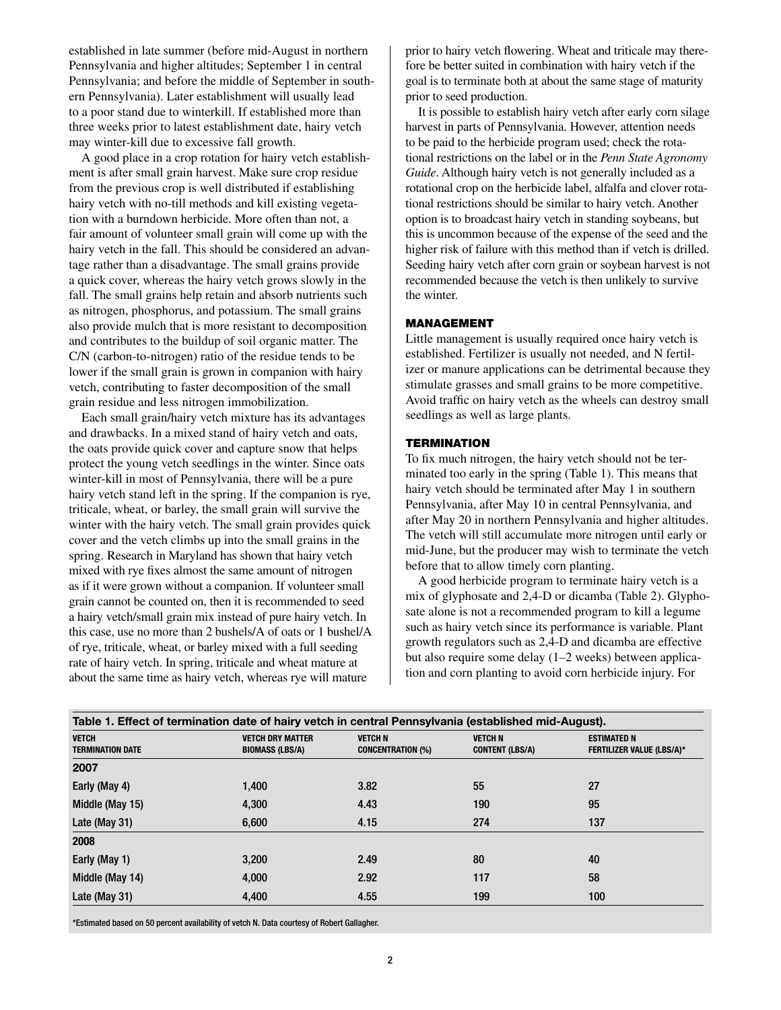established in late summer (before mid-August in northern Pennsylvania and higher altitudes; September 1 in central Pennsylvania; and before the middle of September in southern Pennsylvania). Later establishment will usually lead to a poor stand due to winterkill. If established more than three weeks prior to latest establishment date, hairy vetch may winter-kill due to excessive fall growth.

A good place in a crop rotation for hairy vetch establishment is after small grain harvest. Make sure crop residue from the previous crop is well distributed if establishing hairy vetch with no-till methods and kill existing vegetation with a burndown herbicide. More often than not, a fair amount of volunteer small grain will come up with the hairy vetch in the fall. This should be considered an advantage rather than a disadvantage. The small grains provide a quick cover, whereas the hairy vetch grows slowly in the fall. The small grains help retain and absorb nutrients such as nitrogen, phosphorus, and potassium. The small grains also provide mulch that is more resistant to decomposition and contributes to the buildup of soil organic matter. The C/N (carbon-to-nitrogen) ratio of the residue tends to be lower if the small grain is grown in companion with hairy vetch, contributing to faster decomposition of the small grain residue and less nitrogen immobilization.

Each small grain/hairy vetch mixture has its advantages and drawbacks. In a mixed stand of hairy vetch and oats, the oats provide quick cover and capture snow that helps protect the young vetch seedlings in the winter. Since oats winter-kill in most of Pennsylvania, there will be a pure hairy vetch stand left in the spring. If the companion is rye, triticale, wheat, or barley, the small grain will survive the winter with the hairy vetch. The small grain provides quick cover and the vetch climbs up into the small grains in the spring. Research in Maryland has shown that hairy vetch mixed with rye fixes almost the same amount of nitrogen as if it were grown without a companion. If volunteer small grain cannot be counted on, then it is recommended to seed a hairy vetch/small grain mix instead of pure hairy vetch. In this case, use no more than 2 bushels/A of oats or 1 bushel/A of rye, triticale, wheat, or barley mixed with a full seeding rate of hairy vetch. In spring, triticale and wheat mature at about the same time as hairy vetch, whereas rye will mature

prior to hairy vetch flowering. Wheat and triticale may therefore be better suited in combination with hairy vetch if the goal is to terminate both at about the same stage of maturity prior to seed production.

It is possible to establish hairy vetch after early corn silage harvest in parts of Pennsylvania. However, attention needs to be paid to the herbicide program used; check the rotational restrictions on the label or in the *Penn State Agronomy Guide*. Although hairy vetch is not generally included as a rotational crop on the herbicide label, alfalfa and clover rotational restrictions should be similar to hairy vetch. Another option is to broadcast hairy vetch in standing soybeans, but this is uncommon because of the expense of the seed and the higher risk of failure with this method than if vetch is drilled. Seeding hairy vetch after corn grain or soybean harvest is not recommended because the vetch is then unlikely to survive the winter.

#### Management

Little management is usually required once hairy vetch is established. Fertilizer is usually not needed, and N fertilizer or manure applications can be detrimental because they stimulate grasses and small grains to be more competitive. Avoid traffic on hairy vetch as the wheels can destroy small seedlings as well as large plants.

#### **TERMINATION**

To fix much nitrogen, the hairy vetch should not be terminated too early in the spring (Table 1). This means that hairy vetch should be terminated after May 1 in southern Pennsylvania, after May 10 in central Pennsylvania, and after May 20 in northern Pennsylvania and higher altitudes. The vetch will still accumulate more nitrogen until early or mid-June, but the producer may wish to terminate the vetch before that to allow timely corn planting.

A good herbicide program to terminate hairy vetch is a mix of glyphosate and 2,4-D or dicamba (Table 2). Glyphosate alone is not a recommended program to kill a legume such as hairy vetch since its performance is variable. Plant growth regulators such as 2,4-D and dicamba are effective but also require some delay (1–2 weeks) between application and corn planting to avoid corn herbicide injury. For

| Table 1. Effect of termination date of hairy vetch in central Pennsylvania (established mid-August). |                                                   |                                            |                                          |                                                        |  |  |
|------------------------------------------------------------------------------------------------------|---------------------------------------------------|--------------------------------------------|------------------------------------------|--------------------------------------------------------|--|--|
| <b>VETCH</b><br><b>TERMINATION DATE</b>                                                              | <b>VETCH DRY MATTER</b><br><b>BIOMASS (LBS/A)</b> | <b>VETCH N</b><br><b>CONCENTRATION (%)</b> | <b>VETCH N</b><br><b>CONTENT (LBS/A)</b> | <b>ESTIMATED N</b><br><b>FERTILIZER VALUE (LBS/A)*</b> |  |  |
| 2007                                                                                                 |                                                   |                                            |                                          |                                                        |  |  |
| Early (May 4)                                                                                        | 1.400                                             | 3.82                                       | 55                                       | 27                                                     |  |  |
| Middle (May 15)                                                                                      | 4,300                                             | 4.43                                       | 190                                      | 95                                                     |  |  |
| Late (May 31)                                                                                        | 6.600                                             | 4.15                                       | 274                                      | 137                                                    |  |  |
| 2008                                                                                                 |                                                   |                                            |                                          |                                                        |  |  |
| Early (May 1)                                                                                        | 3.200                                             | 2.49                                       | 80                                       | 40                                                     |  |  |
| Middle (May 14)                                                                                      | 4,000                                             | 2.92                                       | 117                                      | 58                                                     |  |  |
| Late (May $31$ )                                                                                     | 4,400                                             | 4.55                                       | 199                                      | 100                                                    |  |  |

\*Estimated based on 50 percent availability of vetch N. Data courtesy of Robert Gallagher.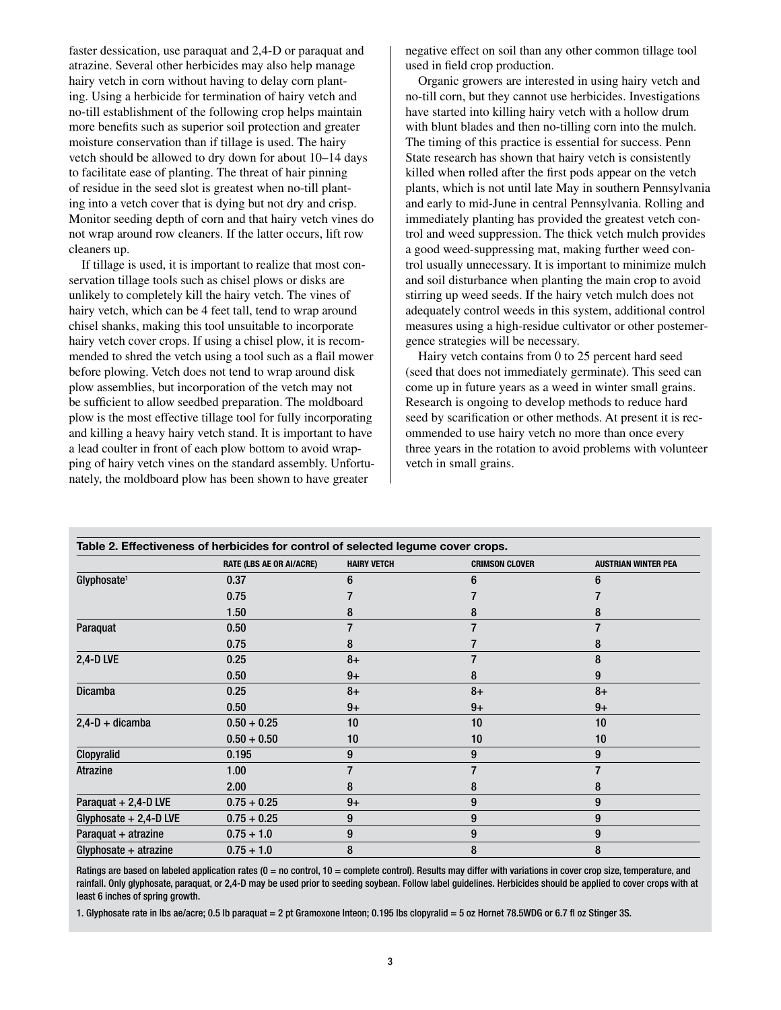faster dessication, use paraquat and 2,4-D or paraquat and atrazine. Several other herbicides may also help manage hairy vetch in corn without having to delay corn planting. Using a herbicide for termination of hairy vetch and no-till establishment of the following crop helps maintain more benefits such as superior soil protection and greater moisture conservation than if tillage is used. The hairy vetch should be allowed to dry down for about 10–14 days to facilitate ease of planting. The threat of hair pinning of residue in the seed slot is greatest when no-till planting into a vetch cover that is dying but not dry and crisp. Monitor seeding depth of corn and that hairy vetch vines do not wrap around row cleaners. If the latter occurs, lift row cleaners up.

If tillage is used, it is important to realize that most conservation tillage tools such as chisel plows or disks are unlikely to completely kill the hairy vetch. The vines of hairy vetch, which can be 4 feet tall, tend to wrap around chisel shanks, making this tool unsuitable to incorporate hairy vetch cover crops. If using a chisel plow, it is recommended to shred the vetch using a tool such as a flail mower before plowing. Vetch does not tend to wrap around disk plow assemblies, but incorporation of the vetch may not be sufficient to allow seedbed preparation. The moldboard plow is the most effective tillage tool for fully incorporating and killing a heavy hairy vetch stand. It is important to have a lead coulter in front of each plow bottom to avoid wrapping of hairy vetch vines on the standard assembly. Unfortunately, the moldboard plow has been shown to have greater

negative effect on soil than any other common tillage tool used in field crop production.

Organic growers are interested in using hairy vetch and no-till corn, but they cannot use herbicides. Investigations have started into killing hairy vetch with a hollow drum with blunt blades and then no-tilling corn into the mulch. The timing of this practice is essential for success. Penn State research has shown that hairy vetch is consistently killed when rolled after the first pods appear on the vetch plants, which is not until late May in southern Pennsylvania and early to mid-June in central Pennsylvania. Rolling and immediately planting has provided the greatest vetch control and weed suppression. The thick vetch mulch provides a good weed-suppressing mat, making further weed control usually unnecessary. It is important to minimize mulch and soil disturbance when planting the main crop to avoid stirring up weed seeds. If the hairy vetch mulch does not adequately control weeds in this system, additional control measures using a high-residue cultivator or other postemergence strategies will be necessary.

Hairy vetch contains from 0 to 25 percent hard seed (seed that does not immediately germinate). This seed can come up in future years as a weed in winter small grains. Research is ongoing to develop methods to reduce hard seed by scarification or other methods. At present it is recommended to use hairy vetch no more than once every three years in the rotation to avoid problems with volunteer vetch in small grains.

| Table 2. Effectiveness of herbicides for control of selected legume cover crops. |                                 |                    |                       |                            |  |  |
|----------------------------------------------------------------------------------|---------------------------------|--------------------|-----------------------|----------------------------|--|--|
|                                                                                  | <b>RATE (LBS AE OR AI/ACRE)</b> | <b>HAIRY VETCH</b> | <b>CRIMSON CLOVER</b> | <b>AUSTRIAN WINTER PEA</b> |  |  |
| Glyphosate <sup>1</sup>                                                          | 0.37                            | 6                  | հ                     |                            |  |  |
|                                                                                  | 0.75                            |                    |                       |                            |  |  |
|                                                                                  | 1.50                            | 8                  | 8                     | 8                          |  |  |
| Paraquat                                                                         | 0.50                            |                    |                       |                            |  |  |
|                                                                                  | 0.75                            | 8                  |                       | 8                          |  |  |
| <b>2,4-D LVE</b>                                                                 | 0.25                            | $8+$               |                       | 8                          |  |  |
|                                                                                  | 0.50                            | $9+$               | 8                     | 9                          |  |  |
| <b>Dicamba</b>                                                                   | 0.25                            | $8+$               | $8+$                  | $8+$                       |  |  |
|                                                                                  | 0.50                            | $9+$               | $9+$                  | $9+$                       |  |  |
| $2,4-D + dicamba$                                                                | $0.50 + 0.25$                   | 10                 | 10                    | 10                         |  |  |
|                                                                                  | $0.50 + 0.50$                   | 10                 | 10                    | 10                         |  |  |
| Clopyralid                                                                       | 0.195                           | 9                  | 9                     | 9                          |  |  |
| <b>Atrazine</b>                                                                  | 1.00                            |                    |                       |                            |  |  |
|                                                                                  | 2.00                            | 8                  | 8                     | 8                          |  |  |
| Paraquat + 2,4-D LVE                                                             | $0.75 + 0.25$                   | $9+$               | 9                     | 9                          |  |  |
| Glyphosate $+ 2,4$ -D LVE                                                        | $0.75 + 0.25$                   | 9                  | 9                     | 9                          |  |  |
| Paraquat + atrazine                                                              | $0.75 + 1.0$                    | 9                  | 9                     | 9                          |  |  |
| Glyphosate $+$ atrazine                                                          | $0.75 + 1.0$                    | 8                  | 8                     | 8                          |  |  |

Ratings are based on labeled application rates ( $0 =$  no control,  $10 =$  complete control). Results may differ with variations in cover crop size, temperature, and rainfall. Only glyphosate, paraquat, or 2,4-D may be used prior to seeding soybean. Follow label guidelines. Herbicides should be applied to cover crops with at least 6 inches of spring growth.

1. Glyphosate rate in lbs ae/acre; 0.5 lb paraquat = 2 pt Gramoxone Inteon; 0.195 lbs clopyralid = 5 oz Hornet 78.5WDG or 6.7 fl oz Stinger 3S.